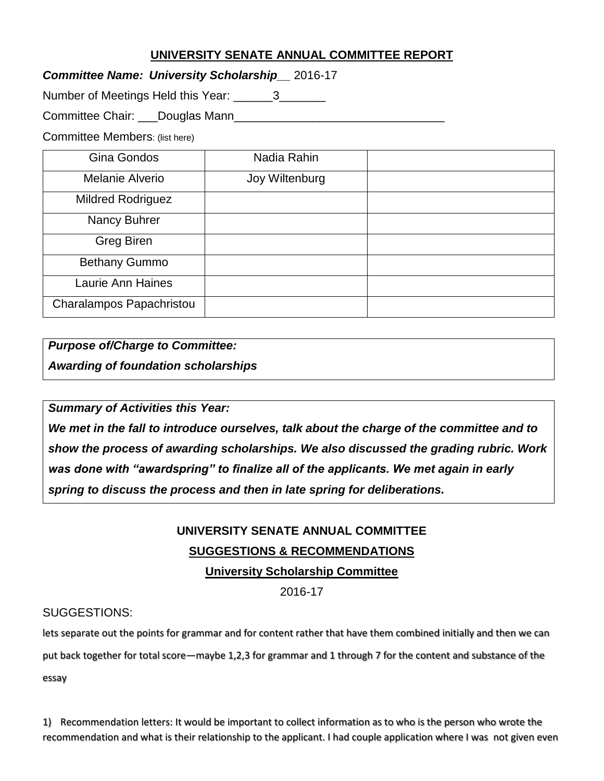## **UNIVERSITY SENATE ANNUAL COMMITTEE REPORT**

*Committee Name: University Scholarship\_\_* 2016-17

Number of Meetings Held this Year: \_\_\_\_\_\_3\_\_\_\_\_\_\_

Committee Chair: \_\_\_Douglas Mann\_\_\_\_\_\_\_\_\_\_\_\_\_\_\_\_\_\_\_\_\_\_\_\_\_\_\_\_\_\_\_\_

Committee Members: (list here)

| Gina Gondos              | Nadia Rahin    |  |
|--------------------------|----------------|--|
| Melanie Alverio          | Joy Wiltenburg |  |
| <b>Mildred Rodriguez</b> |                |  |
| Nancy Buhrer             |                |  |
| <b>Greg Biren</b>        |                |  |
| <b>Bethany Gummo</b>     |                |  |
| Laurie Ann Haines        |                |  |
| Charalampos Papachristou |                |  |

*Purpose of/Charge to Committee:*

*Awarding of foundation scholarships*

*Summary of Activities this Year:*

*We met in the fall to introduce ourselves, talk about the charge of the committee and to show the process of awarding scholarships. We also discussed the grading rubric. Work was done with "awardspring" to finalize all of the applicants. We met again in early spring to discuss the process and then in late spring for deliberations.* 

## **UNIVERSITY SENATE ANNUAL COMMITTEE SUGGESTIONS & RECOMMENDATIONS University Scholarship Committee**

2016-17

## SUGGESTIONS:

lets separate out the points for grammar and for content rather that have them combined initially and then we can

put back together for total score—maybe 1,2,3 for grammar and 1 through 7 for the content and substance of the

essay

1) Recommendation letters: It would be important to collect information as to who is the person who wrote the recommendation and what is their relationship to the applicant. I had couple application where I was not given even